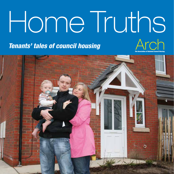# Home Truths Tenants' tales of council housing Arch

The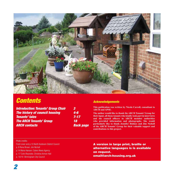

### **Contents Contents Acknowledgements**

| <b>Introduction: Tenants' Group Chair</b> | 3                |
|-------------------------------------------|------------------|
| <b>The history of council housing</b>     | $\mathbf{4}$ -6  |
| <b>Tenants' tales</b>                     | $7 - 17$         |
| <b>The ARCH Tenants' Group</b>            | 18               |
| <b>ARCH contacts</b>                      | <b>Back page</b> |

**This publication was written by Nicola Carroll, consultant to ARCH and APSE.** 

**The author would like to thank the ARCH Tenants' Group for their input, all those tenants who kindly took part in interviews**   $\blacksquare$  and the council officers in ARCH member authorities **who provided information and photographs. She would 8 particularly like to thank Jennifer Holmes and Jim Nicholl of the ARCH Tenants' Group for their valuable support and contributions to this project.** 

#### Photo credits:

Front cover and p.10 North Kesteven District Council

p. 8 Rene Brown: Jim Nicholl

p.14 Maria Hanson: Caters News Agency

p. 17 Colin Reynolds: Christine Armon-Hall

p. 18/19 Birmingham City Council

A version in large print, braille or alternative languages is is available on request. email@arch-housing.org.uk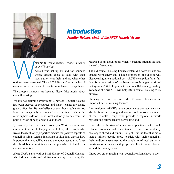

### Introduction Jennifer Holmes, chair of the ARCH Tenants' Group

*council housing*.

elcome to *Home Truths: Tenants' tales of*<br>
council housing.<br>
ARCH was set up by and for councils<br>
whose tenants chose to stick with their<br>
options were presented. The ARCH Tenants' group, which I ARCH was set up by and for councils whose tenants chose to stick with their local authority as their landlord when other

chair, ensures the views of tenants are reflected in its policies.

The group's members are keen to dispel false myths about council housing.

We are not claiming everything is perfect. Council housing has been starved of resources and many tenants are facing great difficulties. But we believe council housing has for too long been negatively stereotyped and it's time to show the more upbeat side of life in local authority homes from the point of view of people who live in them.

I, personally, live in a council property in West Lancashire and am proud to do so. In the pages that follow, other people who live in local authority properties discuss the positive aspects of council housing. Tenants in a range of situations discuss how important their council home is to them; not just as a roof over their head, but in providing security upon which to build lives and communities.

*Home Truths* starts with A Brief History of Council Housing, which shows the rise and fall from its heyday to what might be regarded as its down-point, when it became stigmatised and starved of resources.

The old council housing finance system did not work and we tenants were angry that a huge proportion of our rent was disappearing into a national pot. ARCH's campaign for a 'fair deal for all our residents' has been successful in getting rid of that system. ARCH hopes that the new self-financing funding system as of April 2012 will help return council housing to its heyday.

Showing the more positive side of council homes is an important part of moving forward.

Information on ARCH's tenant governance arrangements can also be found here, along with comments from some members of the Tenants' Group, who provide a regional network representing fellow tenants across England.

I hope this is the start of a new, more positive era for stock retained councils and their tenants. There are certainly challenges ahead and funding is tight. But the fact that more than a million people chose to stick with their council as their landlord is testament to the popularity of local authority housing – as interviews with people who live in council homes around the country show.

I hope you enjoy reading what council residents have to say.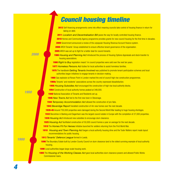## Council housing timeline

- 2012 Self-financing arrangements come into effect meaning councils take control of housing finance in return for taking on debt.
- Localism and Decentralisation Bill paves the way for locally controlled housing finance.
- 2010 Homes and Community Agency programme provides grants for new council housing for the first time in decades.
- Government announced a review of the unpopular Housing Revenue Account finance system.
- ARCH Tenants' Group established to ensure effective tenant governance of the organisation.
- ARCH was set up to fight for a better deal for council tenants.
- *Housing and Planning Act* introduced the process of Housing Options Appraisals and stock transfer to housing associations.

*Right to Buy* legislation meant 1m council properties were sold over the next ten years.

- *Homeless Persons Act* duties for local authorities to assist homeless families.
- The handbook *Getting Tenants Involved* was published to promote tenant-participation schemes and local authorities began initiatives to engage tenants in decision-making.

Gas explosion at Ronan Point in London marked the end of council high rise construction programmes.

**1960s** Tenants' and residents' associations across the country expressed dissatisfaction.

*Housing Subsidies Act* encouraged the construction of high rise local authority blocks.

Construction of local authority homes peaked at 348,000.

National Association of Tenants and Residents set up.

*New Towns Act* led to the first new town in Stevenage.

- *Temporary Accommodation Act* allowed the construction of pre-fabs.
- *Beveridge Report* heralded construction of 4m new homes over the next decade.
- 1939-45 Around 750,000 properties were damaged during the Second World War leading to huge housing shortages.
- 1932 Becontree in Barking and Dagenham was the largest council estate in Europe with the completion of 27,000 properties. *Housing Act* introduced new subsidies to encourage slum clearance.

*Housing Act* facilitated construction of 50,000 council homes a year on average for the next decade.

- The *Homes Fit For Heroes* Initiative launched for soldiers returning from the First World War.
- *Housing and Town Planning Act* began a local authority housing drive and the Tudor Walters report made layout recommendations for public housing.
- *Tenants' Defence League* formed in Leeds.
- 1896 The Boundary Estate built by London County Council on slum clearance land is the oldest surviving example of local authority housing.

Local authorities began large-scale housing work.

1865 The *Housing of the Working Classes Act* gave local authorities slum clearance powers and allowed Public Works Commissioner loans.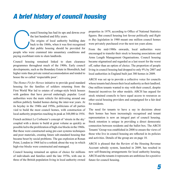## A brief history of council housing

ouncil housing has had its ups and downs over<br>
the last hundred and fifty years.<br>
The origins of local authority building date<br>
back to the 1860s, when it was first recognised<br>
that public housing should be provided for<br>
p the last hundred and fifty years. The origins of local authority building date back to the 1860s, when it was first recognised that public housing should be provided for paying exorbitant rents to slum landlords.

Council housing remained linked to slum clearance programmes throughout much of the 1900s. Early council developments, such as the Boundary Estate in Shoreditch, had higher rents than private rented accommodation and tended to house the so called 'respectable poor'.

The *Homes Fit for Heroes* initiative to provide good standard housing for the families of soldiers returning from the First World War led to estates of cottage-style brick houses with gardens that have proved enduringly popular. Local authorities were the main vehicle for delivering around one million publicly funded homes during the inter-war years. At its heyday in the 1940s and 1950s, politicians of all parties vied to build the most council homes, with construction of local authority properties reaching its peak at 348,000 in 1954.

French architect Le Corbusier's concept of 'streets in the sky' coupled with a desire to build at great volume as quickly as possible led to the proliferation of high-rise blocks in the 1960s. But these were constructed using pre-cast systems techniques and poor materials, creating future sub-standard housing that became beset by social problems. The gas explosion at Ronan Point, London in 1968 led to a rethink about the way in which high-rise blocks were constructed and managed.

Council housing remained an option of choice for millions of individuals and families until the late 1970s, with one in three of the British population living in local authority owned

properties in 1979, according to Office of National Statistics figures. But council housing lost favour politically and *Right to Buy* legislation in 1980 meant one million council homes were privately purchased over the next ten years alone.

From the mid-1980s onwards, local authorities were encouraged to transfer their stock to housing associations and Arms Length Management Organisations. Council housing became stigmatised and regarded as a last resort for the worst off, rather than an option of choice. The proportion of people living in council housing had dropped to only 9% by 2007 and local authorities in England built just 380 homes in 2009.

ARCH was set up to provide a collective voice for councils whose tenants had chosen their local authority as their landlord. One million tenants wanted to stay with their council, despite financial incentives for other models. ARCH has argued for stock retained councils to have equal access to resources as other social housing providers and campaigned for a fair deal for residents.

The need for tenants to have a say in decisions about their homes has been increasingly recognised and tenant representation is now an integral part of council housing. Stock retention is unique in providing a direct democratic connection between residents and the ballot box. The ARCH Tenants'Group was established in 2008 to ensure the views of those who live in council housing are reflected in its policies and activities. Details of the group are on page 18.

ARCH is pleased that the Review of the Housing Revenue Account subsidy system, launched in 2009, has resulted in new self-financing arrangements for local authority housing. ARCH and the tenants it represents are ambitious for a positive future for council housing.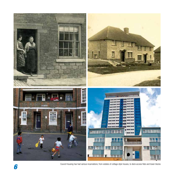

Council housing has had various incarnations; from estates of cottage style houses, to deck access flats and tower blocks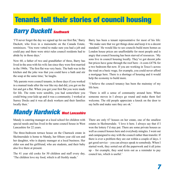## Tenants tell their stories of council housing

## **Barry Duckett Southwark**

I'll never forget the day we signed up for our first flat,' Barry Duckett, who lives in a maisonette on the Canada Estate, reminisces. 'You were vetted to make sure you had a job and could pay and there were strict rules council residents had to abide by in those days.'

Now 60, a father of two and grandfather of three, Barry has lived in the area with his wife Jan since they were first married in the 1960s. 'The first flat was very basic. The bath was in the kitchen and the joke was that you could have a bath and stir the soup at the same time,' he laughs.

'My parents were council tenants; in those days if you worked in a manual trade after the war like my dad did, you got on the list and got a flat. When you got your first flat you were made for life. The rents were sensible, you had somewhere you could bring your kids up and it was a community. I worked at Surrey Docks and it was all dock workers and their families locally then.'

## **Mandy Hardwick West Lancashire**

Mandy is catering manager at a local school for children with special needs and has lived in the same council house in West Lancashire for 22 years.

The three-bedroom terrace house on the Charnock estate in Skelmersdale is home to Mandy, her fifteen year old son and her daughter, who is deputy manager at a local business. Her elder son and his girlfriend, who are students, and their baby also live there at present.

The 41 year old cooks for 50 children and staff every day, 'The children love my food, which is all freshly made.'

Barry has been a tenant representative for most of his life: 'We make sure that we get things done and keep it to a decent standard.' He would like to see councils build more homes as London house prices are unaffordable for most people and is angry that council housing has been starved of resources. 'My sons live in council housing locally. They've got decent jobs but prices have gone through the roof here - it costs £475k for a two bedroom flat now. If you are working in Tesco's across the road on a basic wage, for example, you could never afford a mortgage here. There is a shortage of housing and it would help the economy to build more.

'I believe the council tenancy has been the mainstay of my life here.

'There is still a sense of community around here. When someone moves in I always go round and make them feel welcome. The old people appreciate a knock on the door to say hello and make sure they are ok.'

There are only 67 houses on her estate, one of the smallest estates in Skelmersdale. 'I love it here. I always say that if I won the lottery I'd stay put. There are some private houses as well as council houses here and everybody mingles. I went out and campaigned to stay with the council rather than transfer. If there is ever a problem they are out within a couple of days. I get good service – you can always speak to somebody. When I started work, they sorted out all the paperwork and it all joins  $up$  – for example, they send texts out as a reminder to pay council tax, which is useful.'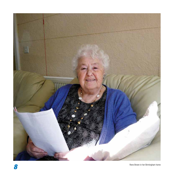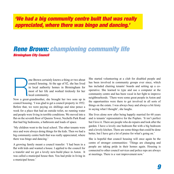### 'We had a big community centre built that was really appreciated, where there was bingo and dancing.'

### Rene Brown: championing community life Birmingham City Council

ene Brown certainly knows a thing or two about<br>council housing. At the age of 82, she has lived<br>in local authority homes in Birmingham for<br>most of her life and worked tirelessly for her<br>local community.<br>Now a great-grandmo council housing. At the age of 82, she has lived in local authority homes in Birmingham for most of her life and worked tirelessly for her local community.

Now a great-grandmother, she brought her two sons up in council housing. 'I was glad to get a council property in 1952. Before that, we were paying six shillings and nine pence a week for a place that had an outside toilet, no running water and people were living in terrible conditions. We moved into a flat on the seventh floor of Queens Tower, Nechells Park Road that had big bedrooms, a bathroom and loads of space.

'My children went to the local school. The other tenants were nice and were always doing things for the kids. Then we had a big community centre built that was really appreciated, where there was bingo and dancing.'

A growing family meant a council transfer: 'I had been in a flat with kids and wanted a house. I applied to the council for a transfer and we got a lovely new-build place in Aston. It was called a municipal house then. You had pride in living in a municipal house.'

She started volunteering at a club for disabled people and has been involved in community groups ever since, which has included chairing tenants' boards and setting up a cooperative. She learned to type and use a computer at the community centre and has been vocal in her fight to improve neighbourhoods. 'There were some great people in Aston and the opportunities were there to get involved in all sorts of things on the estate. I was always busy and always a bit feisty in saying what I thought', she laughs.

She lives alone now after being happily married for 60 years and is tenants' representative for the Poplars. 'It isn't perfect but I love it. There are people who do repairs and look after the garden. I have a lovely one bedroom flat with a big bedroom and a lovely kitchen. There are some things that could be done better, but I have got a lot of praise for what's going on.'

She is hopeful that council housing will once again be the centre of stronger communities: 'Things are changing and people are taking pride in their homes again. Housing is connected to other council services and police reps are always at meetings. There is a vast improvement now.'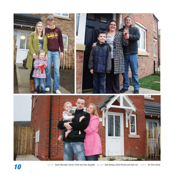

top left: Sarah Marshall, Darren Smith and their daughter top right: Sally Newey, David Vincent and their son bottom: the Sims family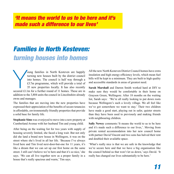### 'It means the world to us to be here and it's made such a difference to our lives'

## Families in North Kesteven: turning houses into homes

Joung families in North Kesteven are happily<br>turning new houses built by the district council<br>into homes. The council is half way through a<br>£3.7m programme, which will provide a total of<br>35 new properties locally. It has a oung families in North Kesteven are happily turning new houses built by the district council into homes. The council is half way through a £3.7m programme, which will provide a total of 35 new properties locally. It has also recently addition to the 3,804 units the council in Lincolnshire already owns and manages.

The families that are moving into the new properties have expressed their appreciation of the benefits of secure tenancies in affordable, environmentally friendly properties that provide a solid base for family life.

**Stephanie Sims** was overjoyed to move into a new property at Cumberland Avenue with her husband Tim and young child.

After being on the waiting list for two years with supply of housing severely limited, she faced a long wait. But not only did she land a brand new house in Wellingore, it was on the street where she's lived in all her life. 'Because I've always lived here and Tim lived next-door-but-one for 11 years, it's like a dream that we can set up our first home on the same street. I still can't believe we're here and that it's so nice,'she says. 'We can all live together now as a proper family in a house that's really spacious and warm,' Tim says.

All the new North Kesteven District Council homes have extra insulation and high energy-efficiency levels, which mean fuel bills will be kept to a minimum. They are built to high quality and accessible standards in areas of greatest need.

**Sarah Marshall** and Darren Smith worked hard at DIY to make sure they would be comfortable in their home on Grayson Green, Wellingore. After 18 months on the waiting list, Sarah says: 'We're all really looking to put down roots because Wellingore's such a lovely village. We all feel like we've got somewhere we want to stay.' Their two children have made a good start, playing out in safer, quieter streets than they have been used to previously and making friends with neighbouring children.

Sally Newey comments: 'It means the world to us to be here and it's made such a difference to our lives,'. Moving from private rented accommodation into her new council home with partner David Vincent and two sons has halved their rent and doubled their available space.

'What's really nice is that we are safe in the knowledge that we're secure here and that we have a big organisation like the council behind us that won't let us down,' says David. 'It really has changed our lives substantially to be here.'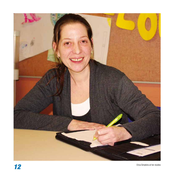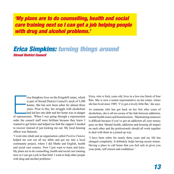'My plans are to do counselling, health and social care training next so I can get a job helping people with drug and alcohol problems.'

### Erica Simpkins: turning things around Stroud District Council

The repose simple is part of Stroud District Council's stock of 5,300 homes. She has now been sober for almost three years. Prior to this, her struggle with alcoholism had led her into debt and her home was in danger of re rica Simpkins lives on the Kingshill estate, which is part of Stroud District Council's stock of 5,300 homes. She has now been sober for almost three years. Prior to this, her struggle with alcoholism had led her into debt and her home was in danger order the council staff were brilliant because they knew I wanted to get better and helped me find the support I needed to recover instead of just kicking me out. My local housing officer was fantastic

'I went into rehab and an organisation called *Positive Futures*  helped me sort out all my debts and got me into a local community project, where I did Maths and English, health and social care courses. Now I just want to learn and learn. My plans are to do counselling, health and social care training hext so I can get a job in that field. I want to help other people with drug and alcohol problems.'

Erica, who is forty years old, lives in a low-rise block of four flats. She is now a tenant representative on her estate, where she has lived since 1989. 'I've got a lovely little flat,' she says.

As someone who has got back on her feet after vears of alcoholism, she is all too aware of the link between addiction, mental health issues and homelessness. 'Maintaining tenancies is difficult because if you've got an addiction all your money goes on that. Mental health, addiction and housing all impact on each other and the professionals should all work together to deal with them in a joined up way.

'I have been sober for nearly three years and my life has changed completely. It definitely helps having secure tenure. Having a place to call home that you feel safe in gives you your pride, self esteem and confidence.'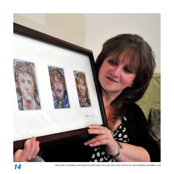

Maria with a rare Beatles print donated by David Guest which was sold to raise funds for her charity Me&Dee [meanddee.co.uk]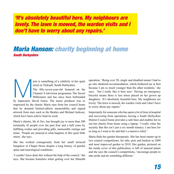'It's absolutely beautiful here. My neighbours are lovely. The lawn is mowed, the warden visits and I don't have to worry about any repairs.'

### Maria Hanson: charity beginning at home South Derbyshire

street in Ticknall, South Derbyshire.

aria is something of a celebrity in her quiet street in Ticknall, South Derbyshire.<br>
The fifty-seven-year-old featured on the Channel 4 television programme The Secret Millionaire and has since been befriended by impresari The fifty-seven-year-old featured on the Channel 4 television programme The Secret Millionaire and has since been befriended impressed by the charity Maria runs from her council home that he donated limited-edition memorabilia and signed artwork from stars such as the Beatles and Michael Jackson, which have been sold to fund its work.

Maria's charity, *Me & Dee*, has brought joy to more than 200 terminally ill people over the past four and a half years by fulfilling wishes and providing gifts, memorable outings and treats. 'People are amazed at what happens in this quiet little street,' she says.

She has worked courageously from her small terraced bungalow in Chapel Street despite a long history of painful spine and neurological conditions.

'I couldn't have done this without the help of the council,'she says. She became homeless when getting over her fifteenth

operation. 'Being over 50, single and disabled meant I had to go into sheltered accommodation, which bothered me at first because I am so much younger than the other residents,' she says, 'but I really like it here now.' Having an emergency bracelet means there is less stress placed on her grown up daughters. 'It's absolutely beautiful here. My neighbours are lovely. The lawn is mowed, the warden visits and I don't have to worry about any repairs.'

Importantly for someone who has spent a lot of time in hospital and recovering from operations, having a South Derbyshire District Council home provides a safe base and enables her to run her charity from home using a laptop. 'I really value the security that this isn't just a six month tenancy. I am here for as long as I want to be and that's a massive relief.'

Maria finds her garden therapeutic. She has been runner up in two council competitions; for tubs, pots and baskets in 2009 and most improved garden in 2010. Her garden, pictured on the inside cover of this publication, is full of unusual plants and she says the council's competitions, 'encourage people to take pride and do something different.'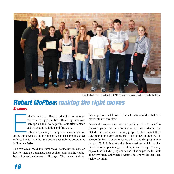

Robert with other participants in the GOALS programme, second from the left on the back row.

### Robert McPhee: making the right moves **Broxtowe**

ighteen year-old Robert Macphee is making<br>the most of opportunities offered by Broxtowe<br>Borough Council to help him look after himself<br>and his accommodation and find work.<br>Robert was staying in supported accommodation<br>foll ighteen vear-old Robert Macphee is making the most of opportunities offered by Broxtowe Borough Council to help him look after himself and his accommodation and find work.

Robert was staying in supported accommodation referred him to the authority's pre-tenancy training programme in Summer 2010.

The five-week 'Make the Right Move' course has sessions on how to manage a tenancy, plus cookery and healthy eating, budgeting and maintenance. He says: 'The tenancy training has helped me and I now feel much more confident before I move into my own flat.'

During the course there was a special session designed to improve voung people's confidence and self esteem. The GOALS session allowed young people to think about their futures and long-term ambitions. The one-day session was so successful that it was followed up with a two-day programme in early 2011. Robert attended these sessions, which enabled him to develop practical, job-seeking tools. He says: 'I really enjoyed the GOALS programme and it has helped me to think about my future and where I want to be. I now feel that I can tackle anything.'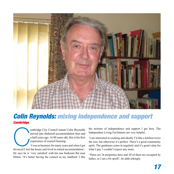

### Colin Reynolds: mixing independence and support **Cambridge**

ambridge City Council tenant Colin Reynolds<br>moved into sheltered accommodation four and<br>a half years ago. At 80 years old, this is his first<br>experience of council housing.<br>Twas in business for many years and when I got<br>div moved into sheltered accommodation four and a half years ago. At 80 years old, this is his first experience of council housing.

'I was in business for many years and when I got divorced I lost the house and lived in rented accommodation'. He says he is 'very satisfied' with his one bedroom flat near Ditton. 'It's better having the council as my landlord. I like

the mixture of independence and support I get here. The Independent Living Facilitators are very helpful.

'I am interested in cooking and ideally I'd like a kitchen twice the size, but otherwise it's perfect. There's a good community spirit. The gardeners come in regularly and it's good value for what I pay. I couldn't expect any more.

'There are 26 properties here and 20 of them are occupied by ladies, so I am a bit spoilt', he adds jokingly.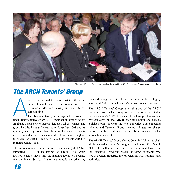

The current Tenants Group chair Jennifer Holmes at the ARCH Tenants' and Residents conference 2010

## The ARCH Tenants' Group

RCH is structured to ensure that it reflects the<br>views of people who live in council homes in<br>its internal decision-making and its external<br>campaigning.<br>The Tenants' Group is a regional network of<br>tenant representatives fr RCH is structured to ensure that it reflects the views of people who live in council homes in its internal decision-making and its external campaigning.

The Tenants' Group is a regional network of England, which covers leaseholders as well as tenants. The group held its inaugural meeting in November 2008 and its quarterly meetings since have been well attended. Tenants and leaseholders have been recruited from across England to ensure the ARCH Tenants' Group fully reflects ARCH's regional composition.

The Association of Public Service Excellence (APSE) has supported ARCH in facilitating the Group. The Group has fed tenants' views into the national review of housing finance. Tenant Services Authority proposals and other key issues affecting the sector. It has shaped a number of highly successful ARCH annual tenants' and residents' conferences.

The ARCH Tenants' Group is a sub-group of the ARCH executive board, which comprises local authorities elected at the association's AGM. The chair of the Group is the resident representative on the ARCH executive board and acts as a liaison point between the two. Executive Board meeting minutes and Tenants' Group meeting minutes are shared between the two entities via the members' only area on the association's website.

The ARCH Tenants' Group elected Jennifer Holmes as chair at its Annual General Meeting in London on 21st March 2011. She will now chair the Group, represent tenants on the Executive Board and ensure the views of people who live in council properties are reflected in ARCH policies and activities.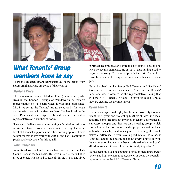

## What Tenants' Group members have to say

There are eighteen tenant representatives in the group from across England. Here are some of their views:

#### Marlene Price

The association recruited Marlene Price (pictured left), who lives in the London Borough of Wandsworth, as resident representative on its board when it was first established. Mrs Price set up the Tenants' Group, acted as its first chair and remains one of its active members. She has lived on the York Road estate since April 1982 and has been a resident representative on a number of bodies.

She says: 'I believe in everyone getting a fair deal as residents in stock retained properties were not receiving the same level of financial support as the other housing options. I have fought for that in my work with ARCH and I will continue to passionately advocate for this equality.'

#### John Ranshaw

John Ranshaw (pictured centre) has been a Lincoln City Council tenant for ten years. He lives in a first floor flat in a tower block. He moved to Lincoln in the 1980s and lived

in private accommodation before the city council housed him when he became homeless. He says: 'I value having a stable long-term tenancy. That can help with the rest of your life. Links between the housing department and other services are good.'

He is involved in the Stamp End Tenants and Residents' Association. He is also a member of the Lincoln Tenants' Panel and was chosen to be the representative linking that with the ARCH Tenants' Group. He says: 'If councils build they are creating local employment.'

#### Kevin Lovatt

Kevin Lovatt (pictured right) has been a Stoke City Council tenant for 27 years and brought up his three children in a local authority home. He first got involved in tenant governance as a mystery shopper and then sat on a steering group, which resulted in a decision to retain the properties within local authority ownership and management. 'Owning the stock makes a difference. If you have a good estate like mine, it is not just about the housing it's about everything to do with the community. People have been made redundant and can't afford mortgages. Council housing is highly important.'

He has been involved in a number of bodies including service review and improvement groups, as well as being the council's representative on the ARCH Tenants' Group.